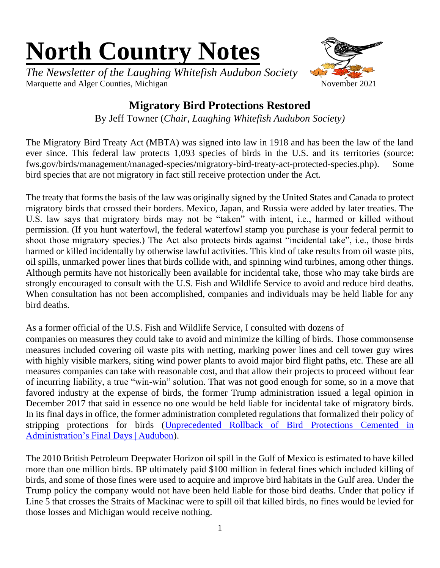# **North Country Notes**

*The Newsletter of the Laughing Whitefish Audubon Society* Marquette and Alger Counties, Michigan November 2021



# **Migratory Bird Protections Restored**

By Jeff Towner (*Chair, Laughing Whitefish Audubon Society)*

The Migratory Bird Treaty Act (MBTA) was signed into law in 1918 and has been the law of the land ever since. This federal law protects 1,093 species of birds in the U.S. and its territories (source: fws.gov/birds/management/managed-species/migratory-bird-treaty-act-protected-species.php). Some bird species that are not migratory in fact still receive protection under the Act.

The treaty that forms the basis of the law was originally signed by the United States and Canada to protect migratory birds that crossed their borders. Mexico, Japan, and Russia were added by later treaties. The U.S. law says that migratory birds may not be "taken" with intent, i.e., harmed or killed without permission. (If you hunt waterfowl, the federal waterfowl stamp you purchase is your federal permit to shoot those migratory species.) The Act also protects birds against "incidental take", i.e., those birds harmed or killed incidentally by otherwise lawful activities. This kind of take results from oil waste pits, oil spills, unmarked power lines that birds collide with, and spinning wind turbines, among other things. Although permits have not historically been available for incidental take, those who may take birds are strongly encouraged to consult with the U.S. Fish and Wildlife Service to avoid and reduce bird deaths. When consultation has not been accomplished, companies and individuals may be held liable for any bird deaths.

As a former official of the U.S. Fish and Wildlife Service, I consulted with dozens of

companies on measures they could take to avoid and minimize the killing of birds. Those commonsense measures included covering oil waste pits with netting, marking power lines and cell tower guy wires with highly visible markers, siting wind power plants to avoid major bird flight paths, etc. These are all measures companies can take with reasonable cost, and that allow their projects to proceed without fear of incurring liability, a true "win-win" solution. That was not good enough for some, so in a move that favored industry at the expense of birds, the former Trump administration issued a legal opinion in December 2017 that said in essence no one would be held liable for incidental take of migratory birds. In its final days in office, the former administration completed regulations that formalized their policy of stripping protections for birds [\(Unprecedented Rollback of Bird Protections Cemented in](https://www.audubon.org/news/unprecedented-rollback-bird-protections-cemented-administrations-final-days)  [Administration's Final Days | Audubon\)](https://www.audubon.org/news/unprecedented-rollback-bird-protections-cemented-administrations-final-days).

The 2010 British Petroleum Deepwater Horizon oil spill in the Gulf of Mexico is estimated to have killed more than one million birds. BP ultimately paid \$100 million in federal fines which included killing of birds, and some of those fines were used to acquire and improve bird habitats in the Gulf area. Under the Trump policy the company would not have been held liable for those bird deaths. Under that policy if Line 5 that crosses the Straits of Mackinac were to spill oil that killed birds, no fines would be levied for those losses and Michigan would receive nothing.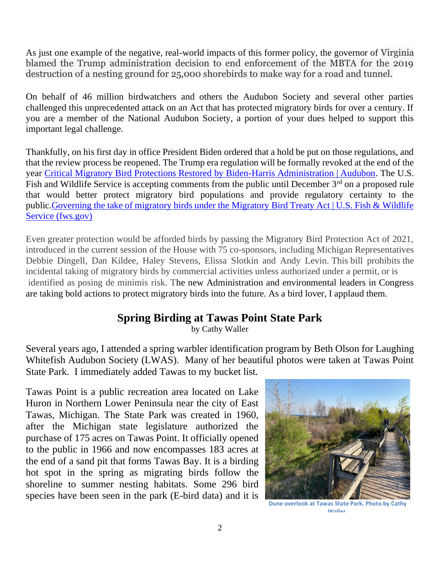As just one example of the negative, real-world impacts of this former policy, the governor of Virginia blamed the Trump administration decision to end enforcement of the MBTA for the 2019 destruction of a nesting ground for 25,000 shorebirds to make way for a road and tunnel.

On behalf of 46 million birdwatchers and others the Audubon Society and several other parties challenged this unprecedented attack on an Act that has protected migratory birds for over a century. If you are a member of the National Audubon Society, a portion of your dues helped to support this important legal challenge.

Thankfully, on his first day in office President Biden ordered that a hold be put on those regulations, and that the review process be reopened. The Trump era regulation will be formally revoked at the end of the year [Critical Migratory Bird Protections Restored by Biden-Harris Administration | Audubon.](https://www.audubon.org/news/critical-migratory-bird-protections-restored-biden-harris-administration) The U.S. Fish and Wildlife Service is accepting comments from the public until December 3<sup>rd</sup> on a proposed rule that would better protect migratory bird populations and provide regulatory certainty to the public[.Governing the take of migratory birds under the Migratory Bird Treaty Act | U.S. Fish & Wildlife](https://www.fws.gov/regulations/mbta/)  [Service \(fws.gov\)](https://www.fws.gov/regulations/mbta/)

Even greater protection would be afforded birds by passing the Migratory Bird Protection Act of 2021, introduced in the current session of the House with 75 co-sponsors, including Michigan Representatives Debbie Dingell, Dan Kildee, Haley Stevens, Elissa Slotkin and Andy Levin. This bill prohibits the incidental taking of migratory birds by commercial activities unless authorized under a permit, or is identified as posing de minimis risk. The new Administration and environmental leaders in Congress are taking bold actions to protect migratory birds into the future. As a bird lover, I applaud them.

# **Spring Birding at Tawas Point State Park**

by Cathy Waller

Several years ago, I attended a spring warbler identification program by Beth Olson for Laughing Whitefish Audubon Society (LWAS). Many of her beautiful photos were taken at Tawas Point State Park. I immediately added Tawas to my bucket list.

Tawas Point is a public recreation area located on Lake Huron in Northern Lower Peninsula near the city of East Tawas, Michigan. The State Park was created in 1960, after the Michigan state legislature authorized the purchase of 175 acres on Tawas Point. It officially opened to the public in 1966 and now encompasses 183 acres at the end of a sand pit that forms Tawas Bay. It is a birding hot spot in the spring as migrating birds follow the shoreline to summer nesting habitats. Some 296 bird species have been seen in the park (E-bird data) and it is



**Dune overlook at Tawas State Park. Photo by Cathy Waller.**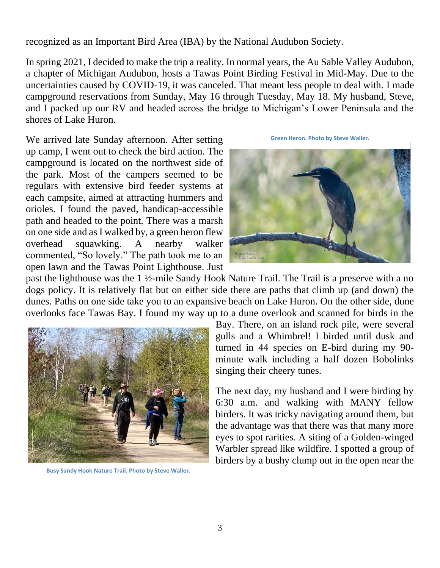recognized as an Important Bird Area (IBA) by the National Audubon Society.

In spring 2021, I decided to make the trip a reality. In normal years, the Au Sable Valley Audubon, a chapter of Michigan Audubon, hosts a Tawas Point Birding Festival in Mid-May. Due to the uncertainties caused by COVID-19, it was canceled. That meant less people to deal with. I made campground reservations from Sunday, May 16 through Tuesday, May 18. My husband, Steve, and I packed up our RV and headed across the bridge to Michigan's Lower Peninsula and the shores of Lake Huron.

We arrived late Sunday afternoon. After setting up camp, I went out to check the bird action. The campground is located on the northwest side of the park. Most of the campers seemed to be regulars with extensive bird feeder systems at each campsite, aimed at attracting hummers and orioles. I found the paved, handicap-accessible path and headed to the point. There was a marsh on one side and as I walked by, a green heron flew overhead squawking. A nearby walker commented, "So lovely." The path took me to an open lawn and the Tawas Point Lighthouse. Just

**Green Heron. Photo by Steve Waller.**



past the lighthouse was the 1 ½-mile Sandy Hook Nature Trail. The Trail is a preserve with a no dogs policy. It is relatively flat but on either side there are paths that climb up (and down) the dunes. Paths on one side take you to an expansive beach on Lake Huron. On the other side, dune overlooks face Tawas Bay. I found my way up to a dune overlook and scanned for birds in the



**Busy Sandy Hook Nature Trail. Photo by Steve Waller.**

Bay. There, on an island rock pile, were several gulls and a Whimbrel! I birded until dusk and turned in 44 species on E-bird during my 90 minute walk including a half dozen Bobolinks singing their cheery tunes.

The next day, my husband and I were birding by 6:30 a.m. and walking with MANY fellow birders. It was tricky navigating around them, but the advantage was that there was that many more eyes to spot rarities. A siting of a Golden-winged Warbler spread like wildfire. I spotted a group of birders by a bushy clump out in the open near the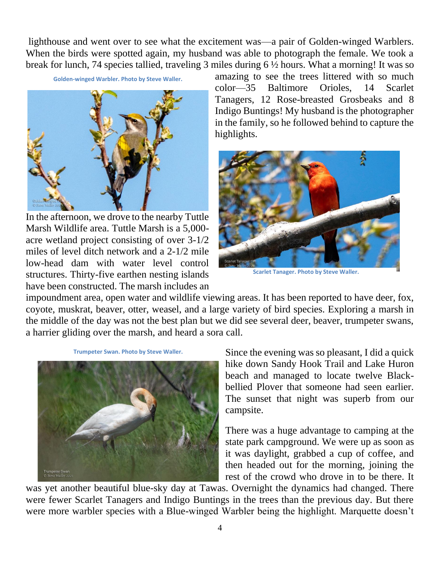lighthouse and went over to see what the excitement was—a pair of Golden-winged Warblers. When the birds were spotted again, my husband was able to photograph the female. We took a break for lunch, 74 species tallied, traveling 3 miles during 6 ½ hours. What a morning! It was so

**Golden-winged Warbler. Photo by Steve Waller.**



In the afternoon, we drove to the nearby Tuttle Marsh Wildlife area. Tuttle Marsh is a 5,000 acre wetland project consisting of over 3-1/2 miles of level ditch network and a 2-1/2 mile low-head dam with water level control structures. Thirty-five earthen nesting islands have been constructed. The marsh includes an

amazing to see the trees littered with so much color—35 Baltimore Orioles, 14 Scarlet Tanagers, 12 Rose-breasted Grosbeaks and 8 Indigo Buntings! My husband is the photographer in the family, so he followed behind to capture the highlights.



**Scarlet Tanager. Photo by Steve Waller.**

impoundment area, open water and wildlife viewing areas. It has been reported to have deer, fox, coyote, muskrat, beaver, otter, weasel, and a large variety of bird species. Exploring a marsh in the middle of the day was not the best plan but we did see several deer, beaver, trumpeter swans, a harrier gliding over the marsh, and heard a sora call.



**Trumpeter Swan. Photo by Steve Waller.**

Since the evening was so pleasant, I did a quick hike down Sandy Hook Trail and Lake Huron beach and managed to locate twelve Blackbellied Plover that someone had seen earlier. The sunset that night was superb from our campsite.

There was a huge advantage to camping at the state park campground. We were up as soon as it was daylight, grabbed a cup of coffee, and then headed out for the morning, joining the rest of the crowd who drove in to be there. It

was yet another beautiful blue-sky day at Tawas. Overnight the dynamics had changed. There were fewer Scarlet Tanagers and Indigo Buntings in the trees than the previous day. But there were more warbler species with a Blue-winged Warbler being the highlight. Marquette doesn't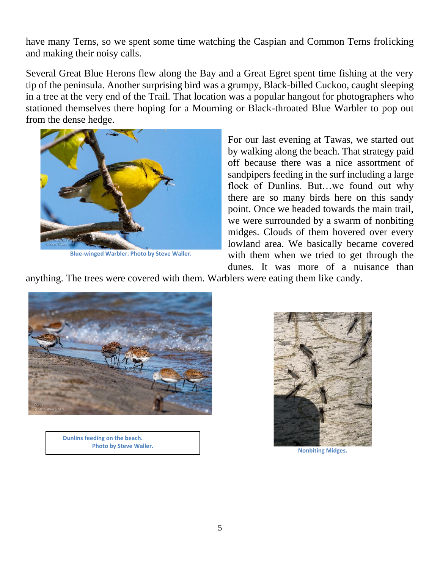have many Terns, so we spent some time watching the Caspian and Common Terns frolicking and making their noisy calls.

Several Great Blue Herons flew along the Bay and a Great Egret spent time fishing at the very tip of the peninsula. Another surprising bird was a grumpy, Black-billed Cuckoo, caught sleeping in a tree at the very end of the Trail. That location was a popular hangout for photographers who stationed themselves there hoping for a Mourning or Black-throated Blue Warbler to pop out from the dense hedge.



**Blue-winged Warbler. Photo by Steve Waller.**

For our last evening at Tawas, we started out by walking along the beach. That strategy paid off because there was a nice assortment of sandpipers feeding in the surf including a large flock of Dunlins. But…we found out why there are so many birds here on this sandy point. Once we headed towards the main trail, we were surrounded by a swarm of nonbiting midges. Clouds of them hovered over every lowland area. We basically became covered with them when we tried to get through the dunes. It was more of a nuisance than

anything. The trees were covered with them. Warblers were eating them like candy.



 **Dunlins feeding on the beach. Photo by Steve Waller.**



**Nonbiting Midges.**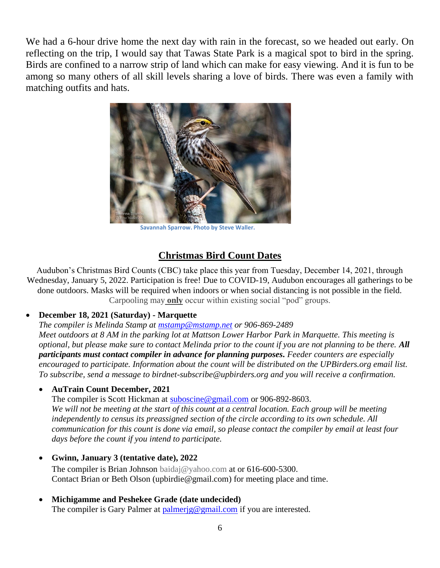We had a 6-hour drive home the next day with rain in the forecast, so we headed out early. On reflecting on the trip, I would say that Tawas State Park is a magical spot to bird in the spring. Birds are confined to a narrow strip of land which can make for easy viewing. And it is fun to be among so many others of all skill levels sharing a love of birds. There was even a family with matching outfits and hats.



**Savannah Sparrow. Photo by Steve Waller.**

# **Christmas Bird Count Dates**

Audubon's Christmas Bird Counts (CBC) take place this year from Tuesday, December 14, 2021, through Wednesday, January 5, 2022. Participation is free! Due to COVID-19, Audubon encourages all gatherings to be done outdoors. Masks will be required when indoors or when social distancing is not possible in the field. Carpooling may **only** occur within existing social "pod" groups.

#### • **December 18, 2021 (Saturday) - Marquette**

*The compiler is Melinda Stamp at [mstamp@mstamp.net](about:blank) or 906-869-2489* 

*Meet outdoors at 8 AM in the parking lot at Mattson Lower Harbor Park in Marquette. This meeting is optional, but please make sure to contact Melinda prior to the count if you are not planning to be there. All participants must contact compiler in advance for planning purposes. Feeder counters are especially encouraged to participate. Information about the count will be distributed on the UPBirders.org email list. To subscribe, send a message to birdnet-subscribe@upbirders.org and you will receive a confirmation.*

#### • **AuTrain Count December, 2021**

The compiler is Scott Hickman at [suboscine@gmail.com](about:blank) or 906-892-8603.

*We will not be meeting at the start of this count at a central location. Each group will be meeting independently to census its preassigned section of the circle according to its own schedule. All communication for this count is done via email, so please contact the compiler by email at least four days before the count if you intend to participate.*

#### • **Gwinn, January 3 (tentative date), 2022**

The compiler is Brian Johnson baidaj@yahoo.com at or 616-600-5300. Contact Brian or Beth Olson (upbirdie@gmail.com) for meeting place and time.

#### • **Michigamme and Peshekee Grade (date undecided)**

The compiler is Gary Palmer at palmerig@gmail.com if you are interested.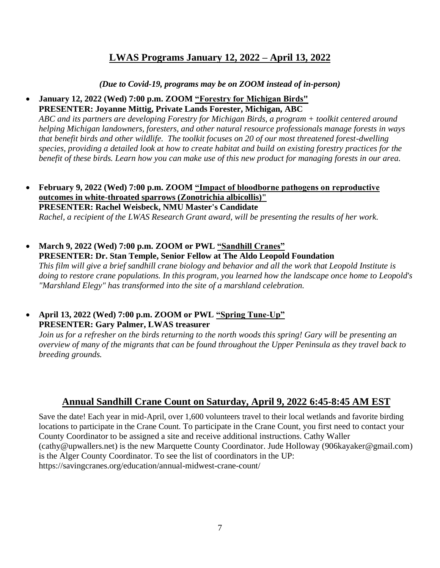## **LWAS Programs January 12, 2022 – April 13, 2022**

*(Due to Covid-19, programs may be on ZOOM instead of in-person)*

#### • **January 12, 2022 (Wed) 7:00 p.m. ZOOM "Forestry for Michigan Birds" PRESENTER: Joyanne Mittig, Private Lands Forester, Michigan, ABC**

*ABC and its partners are developing Forestry for Michigan Birds, a program + toolkit centered around helping Michigan landowners, foresters, and other natural resource professionals manage forests in ways that benefit birds and other wildlife. The toolkit focuses on 20 of our most threatened forest-dwelling species, providing a detailed look at how to create habitat and build on existing forestry practices for the benefit of these birds. Learn how you can make use of this new product for managing forests in our area.*

- **February 9, 2022 (Wed) 7:00 p.m. ZOOM "Impact of bloodborne pathogens on reproductive outcomes in white-throated sparrows (Zonotrichia albicollis)" PRESENTER: Rachel Weisbeck, NMU Master's Candidate** *Rachel, a recipient of the LWAS Research Grant award, will be presenting the results of her work.*
- **March 9, 2022 (Wed) 7:00 p.m. ZOOM or PWL "Sandhill Cranes" PRESENTER: Dr. Stan Temple, Senior Fellow at The Aldo Leopold Foundation** *This film will give a brief sandhill crane biology and behavior and all the work that Leopold Institute is doing to restore crane populations. In this program, you learned how the landscape once home to Leopold's "Marshland Elegy" has transformed into the site of a marshland celebration.*
- **April 13, 2022 (Wed) 7:00 p.m. ZOOM or PWL "Spring Tune-Up" PRESENTER: Gary Palmer, LWAS treasurer**

*Join us for a refresher on the birds returning to the north woods this spring! Gary will be presenting an overview of many of the migrants that can be found throughout the Upper Peninsula as they travel back to breeding grounds.* 

# **Annual Sandhill Crane Count on Saturday, April 9, 2022 6:45-8:45 AM EST**

Save the date! Each year in mid-April, over 1,600 volunteers travel to their local wetlands and favorite birding locations to participate in the Crane Count. To participate in the Crane Count, you first need to contact your County Coordinator to be assigned a site and receive additional instructions. Cathy Waller [\(cathy@upwallers.net\)](mailto:cathy@upwallers.net) is the new Marquette County Coordinator. Jude Holloway [\(906kayaker@gmail.com\)](mailto:906kayaker@gmail.com) is the Alger County Coordinator. To see the list of coordinators in the UP: <https://savingcranes.org/education/annual-midwest-crane-count/>